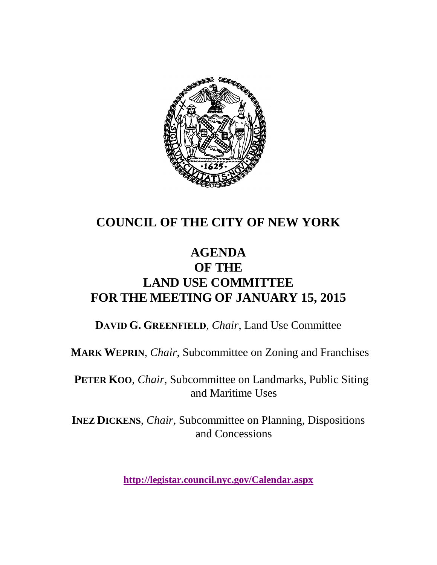

# **COUNCIL OF THE CITY OF NEW YORK**

# **AGENDA OF THE LAND USE COMMITTEE FOR THE MEETING OF JANUARY 15, 2015**

**DAVID G. GREENFIELD**, *Chair*, Land Use Committee

**MARK WEPRIN**, *Chair*, Subcommittee on Zoning and Franchises

**PETER KOO**, *Chair*, Subcommittee on Landmarks, Public Siting and Maritime Uses

**INEZ DICKENS**, *Chair,* Subcommittee on Planning, Dispositions and Concessions

**<http://legistar.council.nyc.gov/Calendar.aspx>**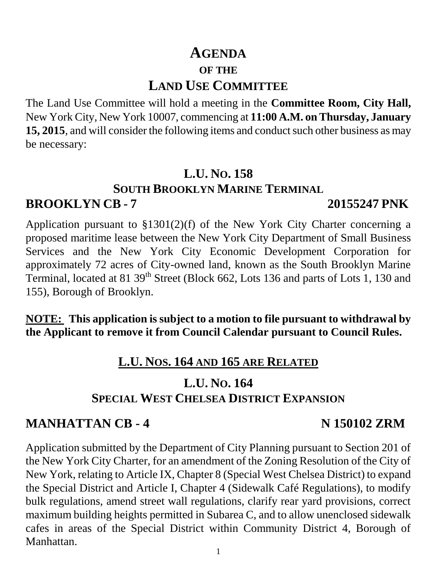## **AGENDA OF THE**

# **LAND USE COMMITTEE**

The Land Use Committee will hold a meeting in the **Committee Room, City Hall,**  New York City, New York 10007, commencing at **11:00 A.M. on Thursday, January 15, 2015**, and will consider the following items and conduct such other business as may be necessary:

# **L.U. NO. 158**

## **SOUTH BROOKLYN MARINE TERMINAL**

# **BROOKLYN CB - 7 20155247 PNK**

Application pursuant to §1301(2)(f) of the New York City Charter concerning a proposed maritime lease between the New York City Department of Small Business Services and the New York City Economic Development Corporation for approximately 72 acres of City-owned land, known as the South Brooklyn Marine Terminal, located at 81 39<sup>th</sup> Street (Block 662, Lots 136 and parts of Lots 1, 130 and 155), Borough of Brooklyn.

**NOTE: This application is subject to a motion to file pursuant to withdrawal by the Applicant to remove it from Council Calendar pursuant to Council Rules.**

# **L.U. NOS. 164 AND 165 ARE RELATED**

# **L.U. NO. 164 SPECIAL WEST CHELSEA DISTRICT EXPANSION**

# **MANHATTAN CB - 4 N 150102 ZRM**

Application submitted by the Department of City Planning pursuant to Section 201 of the New York City Charter, for an amendment of the Zoning Resolution of the City of New York, relating to Article IX, Chapter 8 (Special West Chelsea District) to expand the Special District and Article I, Chapter 4 (Sidewalk Café Regulations), to modify bulk regulations, amend street wall regulations, clarify rear yard provisions, correct maximum building heights permitted in Subarea C, and to allow unenclosed sidewalk cafes in areas of the Special District within Community District 4, Borough of Manhattan.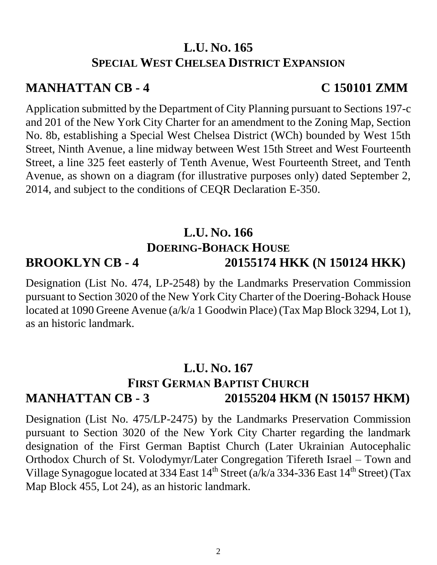### **L.U. NO. 165 SPECIAL WEST CHELSEA DISTRICT EXPANSION**

### **MANHATTAN CB - 4 C 150101 ZMM**

Application submitted by the Department of City Planning pursuant to Sections 197-c and 201 of the New York City Charter for an amendment to the Zoning Map, Section No. 8b, establishing a Special West Chelsea District (WCh) bounded by West 15th Street, Ninth Avenue, a line midway between West 15th Street and West Fourteenth Street, a line 325 feet easterly of Tenth Avenue, West Fourteenth Street, and Tenth Avenue, as shown on a diagram (for illustrative purposes only) dated September 2, 2014, and subject to the conditions of CEQR Declaration E-350.

### **L.U. NO. 166 DOERING-BOHACK HOUSE BROOKLYN CB - 4 20155174 HKK (N 150124 HKK)**

### Designation (List No. 474, LP-2548) by the Landmarks Preservation Commission pursuant to Section 3020 of the New York City Charter of the Doering-Bohack House located at 1090 Greene Avenue (a/k/a 1 Goodwin Place) (Tax Map Block 3294, Lot 1), as an historic landmark.

## **L.U. NO. 167 FIRST GERMAN BAPTIST CHURCH MANHATTAN CB - 3 20155204 HKM (N 150157 HKM)**

Designation (List No. 475/LP-2475) by the Landmarks Preservation Commission pursuant to Section 3020 of the New York City Charter regarding the landmark designation of the First German Baptist Church (Later Ukrainian Autocephalic Orthodox Church of St. Volodymyr/Later Congregation Tifereth Israel – Town and Village Synagogue located at 334 East  $14^{th}$  Street (a/k/a 334-336 East  $14^{th}$  Street) (Tax Map Block 455, Lot 24), as an historic landmark.